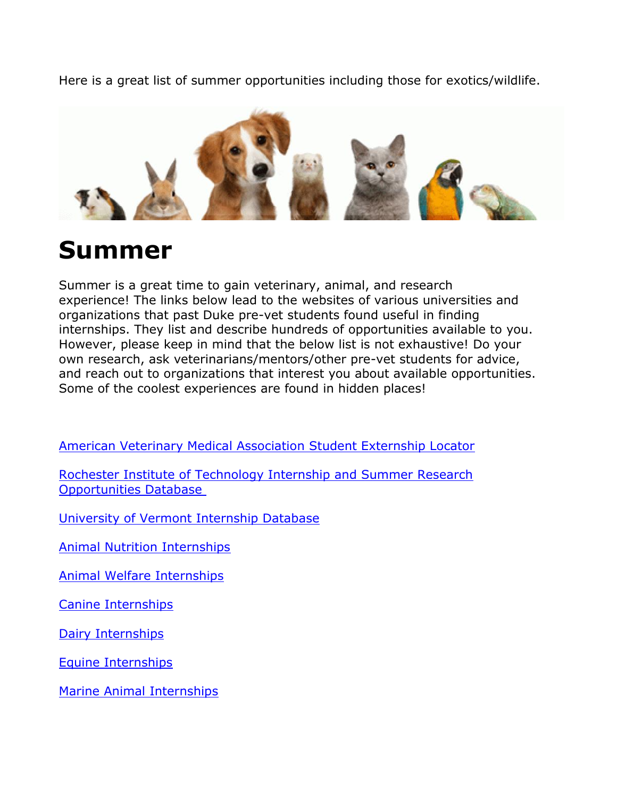Here is a great list of summer opportunities including those for exotics/wildlife.



# **Summer**

Summer is a great time to gain veterinary, animal, and research experience! The links below lead to the websites of various universities and organizations that past Duke pre-vet students found useful in finding internships. They list and describe hundreds of opportunities available to you. However, please keep in mind that the below list is not exhaustive! Do your own research, ask veterinarians/mentors/other pre-vet students for advice, and reach out to organizations that interest you about available opportunities. Some of the coolest experiences are found in hidden places!

[American Veterinary Medical Association](https://urldefense.proofpoint.com/v2/url?u=https-3A__www.avma.org_ProfessionalDevelopment_Career_VCC_Pages_vcc-2Dstudent-2Dexternships-2Dspecial-2Dinterests.aspx-23intl&d=DwMGaQ&c=mRWFL96tuqj9V0Jjj4h40ddo0XsmttALwKjAEOCyUjY&r=_HCobFdLvmTnJ5LHSXLop2lmW7tYfuvLYwtDFL6nAtJtbvQn-K6Hi5_1pZVjNXRY&m=BbLfiITn-yt2gW_RST5APLUIZC89Ijljp7Ed5LcitYQ&s=FYCOGjb-L_xQAegmLiPnVGFSK7wes0dmv7be_nHVs3o&e=) Student Externship Locator

[Rochester Institute of Technology Internship and Summer Research](https://urldefense.proofpoint.com/v2/url?u=https-3A__people.rit.edu_gtfsbi_Symp_vetag.htm&d=DwMGaQ&c=mRWFL96tuqj9V0Jjj4h40ddo0XsmttALwKjAEOCyUjY&r=_HCobFdLvmTnJ5LHSXLop2lmW7tYfuvLYwtDFL6nAtJtbvQn-K6Hi5_1pZVjNXRY&m=BbLfiITn-yt2gW_RST5APLUIZC89Ijljp7Ed5LcitYQ&s=EmDeeE6ervjNkui1gNg1qvu2JTxWuifQqmrph-Bls64&e=)  [Opportunities Database](https://urldefense.proofpoint.com/v2/url?u=https-3A__people.rit.edu_gtfsbi_Symp_vetag.htm&d=DwMGaQ&c=mRWFL96tuqj9V0Jjj4h40ddo0XsmttALwKjAEOCyUjY&r=_HCobFdLvmTnJ5LHSXLop2lmW7tYfuvLYwtDFL6nAtJtbvQn-K6Hi5_1pZVjNXRY&m=BbLfiITn-yt2gW_RST5APLUIZC89Ijljp7Ed5LcitYQ&s=EmDeeE6ervjNkui1gNg1qvu2JTxWuifQqmrph-Bls64&e=)

[University of Vermont Internship Database](https://urldefense.proofpoint.com/v2/url?u=http-3A__asci.uvm.edu_intern_-3FPage-3Dinternships.html-26SM-3Dinternmenu.html&d=DwMGaQ&c=mRWFL96tuqj9V0Jjj4h40ddo0XsmttALwKjAEOCyUjY&r=_HCobFdLvmTnJ5LHSXLop2lmW7tYfuvLYwtDFL6nAtJtbvQn-K6Hi5_1pZVjNXRY&m=BbLfiITn-yt2gW_RST5APLUIZC89Ijljp7Ed5LcitYQ&s=nC9K85CVGscXNCLXd2eE3Gbe7eTxqRV2v46q2U71Hac&e=)

[Animal Nutrition Internships](https://urldefense.proofpoint.com/v2/url?u=https-3A__www.thebalance.com_animal-2Dnutrition-2Dinternships-2D125682&d=DwMGaQ&c=mRWFL96tuqj9V0Jjj4h40ddo0XsmttALwKjAEOCyUjY&r=_HCobFdLvmTnJ5LHSXLop2lmW7tYfuvLYwtDFL6nAtJtbvQn-K6Hi5_1pZVjNXRY&m=BbLfiITn-yt2gW_RST5APLUIZC89Ijljp7Ed5LcitYQ&s=wWSo84aoVIVY3NEeG8siSEg2QhWfypvQ-c1jzMQbdOQ&e=)

[Animal Welfare Internships](https://urldefense.proofpoint.com/v2/url?u=https-3A__www.thebalance.com_animal-2Dwelfare-2Dinternships-2D125477&d=DwMGaQ&c=mRWFL96tuqj9V0Jjj4h40ddo0XsmttALwKjAEOCyUjY&r=_HCobFdLvmTnJ5LHSXLop2lmW7tYfuvLYwtDFL6nAtJtbvQn-K6Hi5_1pZVjNXRY&m=BbLfiITn-yt2gW_RST5APLUIZC89Ijljp7Ed5LcitYQ&s=KvWjq54ASvI__Mo54xj28cGJzjY4BGdnrcu7XitMBhk&e=)

[Canine Internships](https://urldefense.proofpoint.com/v2/url?u=https-3A__www.thebalance.com_canine-2Dinternships-2D125688&d=DwMGaQ&c=mRWFL96tuqj9V0Jjj4h40ddo0XsmttALwKjAEOCyUjY&r=_HCobFdLvmTnJ5LHSXLop2lmW7tYfuvLYwtDFL6nAtJtbvQn-K6Hi5_1pZVjNXRY&m=BbLfiITn-yt2gW_RST5APLUIZC89Ijljp7Ed5LcitYQ&s=6-jyUAseXLWA_qQeN9KSZy1jqZ9kfjJKb4ZKlt6FcJs&e=)

[Dairy Internships](https://urldefense.proofpoint.com/v2/url?u=https-3A__www.thebalance.com_dairy-2Dinternships-2D125689&d=DwMGaQ&c=mRWFL96tuqj9V0Jjj4h40ddo0XsmttALwKjAEOCyUjY&r=_HCobFdLvmTnJ5LHSXLop2lmW7tYfuvLYwtDFL6nAtJtbvQn-K6Hi5_1pZVjNXRY&m=BbLfiITn-yt2gW_RST5APLUIZC89Ijljp7Ed5LcitYQ&s=8ZO_LV_owa1CFTAR5_NFY7l7GDpboLhU1TU3xW_tn0c&e=)

[Equine Internships](https://urldefense.proofpoint.com/v2/url?u=https-3A__www.thebalance.com_equine-2Dinternships-2D125690&d=DwMGaQ&c=mRWFL96tuqj9V0Jjj4h40ddo0XsmttALwKjAEOCyUjY&r=_HCobFdLvmTnJ5LHSXLop2lmW7tYfuvLYwtDFL6nAtJtbvQn-K6Hi5_1pZVjNXRY&m=BbLfiITn-yt2gW_RST5APLUIZC89Ijljp7Ed5LcitYQ&s=WftulcYpc3Esq9UX5mX0Vz4oCD_elgLtb5OEGnrXZc8&e=)

[Marine Animal Internships](https://urldefense.proofpoint.com/v2/url?u=https-3A__www.thebalance.com_marine-2Danimal-2Dinternships-2D125693&d=DwMGaQ&c=mRWFL96tuqj9V0Jjj4h40ddo0XsmttALwKjAEOCyUjY&r=_HCobFdLvmTnJ5LHSXLop2lmW7tYfuvLYwtDFL6nAtJtbvQn-K6Hi5_1pZVjNXRY&m=BbLfiITn-yt2gW_RST5APLUIZC89Ijljp7Ed5LcitYQ&s=nyvlsg_Vl_Eg2mvxq-9M0XjWGa85dX-f5Zv2QZp6FGE&e=)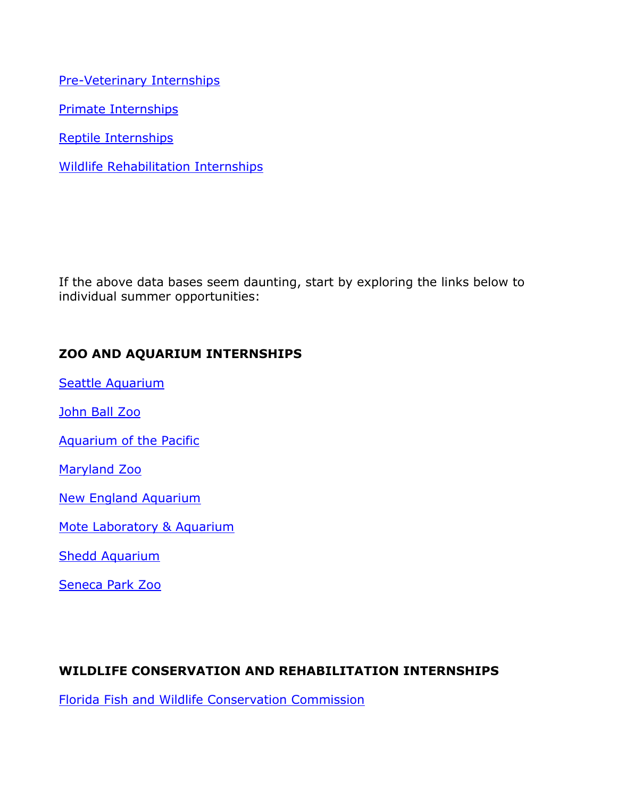[Pre-Veterinary Internships](https://urldefense.proofpoint.com/v2/url?u=https-3A__www.thebalance.com_pre-2Dveterinary-2Dinternships-2D125694&d=DwMGaQ&c=mRWFL96tuqj9V0Jjj4h40ddo0XsmttALwKjAEOCyUjY&r=_HCobFdLvmTnJ5LHSXLop2lmW7tYfuvLYwtDFL6nAtJtbvQn-K6Hi5_1pZVjNXRY&m=BbLfiITn-yt2gW_RST5APLUIZC89Ijljp7Ed5LcitYQ&s=PclzorEPWe6LbAseryAJoY4PaBsBt_kvpZnH4ofY-iA&e=)

[Primate Internships](https://urldefense.proofpoint.com/v2/url?u=https-3A__www.thebalance.com_primate-2Dinternships-2D125483&d=DwMGaQ&c=mRWFL96tuqj9V0Jjj4h40ddo0XsmttALwKjAEOCyUjY&r=_HCobFdLvmTnJ5LHSXLop2lmW7tYfuvLYwtDFL6nAtJtbvQn-K6Hi5_1pZVjNXRY&m=BbLfiITn-yt2gW_RST5APLUIZC89Ijljp7Ed5LcitYQ&s=c8Gsipu3tCxN2Uw9gjrS9h53z17wwyr6FEf4jCNR8Fw&e=)

[Reptile Internships](https://urldefense.proofpoint.com/v2/url?u=https-3A__www.thebalance.com_reptile-2Dinternships-2D125695&d=DwMGaQ&c=mRWFL96tuqj9V0Jjj4h40ddo0XsmttALwKjAEOCyUjY&r=_HCobFdLvmTnJ5LHSXLop2lmW7tYfuvLYwtDFL6nAtJtbvQn-K6Hi5_1pZVjNXRY&m=BbLfiITn-yt2gW_RST5APLUIZC89Ijljp7Ed5LcitYQ&s=a-H2NqaR1Ih23jfAOQg6kcxVovlDC5hgFFJc8rXojbo&e=)

[Wildlife Rehabilitation Internships](https://urldefense.proofpoint.com/v2/url?u=https-3A__www.thebalance.com_wildlife-2Drehabilitation-2Dinternships-2D125700&d=DwMGaQ&c=mRWFL96tuqj9V0Jjj4h40ddo0XsmttALwKjAEOCyUjY&r=_HCobFdLvmTnJ5LHSXLop2lmW7tYfuvLYwtDFL6nAtJtbvQn-K6Hi5_1pZVjNXRY&m=BbLfiITn-yt2gW_RST5APLUIZC89Ijljp7Ed5LcitYQ&s=60d-ISHgQ_1PBCD6TTSjtK7IUMxhdSgiK-PoUk3nLJk&e=)

If the above data bases seem daunting, start by exploring the links below to individual summer opportunities:

### **ZOO AND AQUARIUM INTERNSHIPS**

[Seattle Aquarium](https://urldefense.proofpoint.com/v2/url?u=http-3A__www.seattleaquarium.org_internships&d=DwMGaQ&c=mRWFL96tuqj9V0Jjj4h40ddo0XsmttALwKjAEOCyUjY&r=_HCobFdLvmTnJ5LHSXLop2lmW7tYfuvLYwtDFL6nAtJtbvQn-K6Hi5_1pZVjNXRY&m=BbLfiITn-yt2gW_RST5APLUIZC89Ijljp7Ed5LcitYQ&s=X2XzO_SvoAaqmprNkd6sAVe9JW4OuixttjkV3yk7Tjs&e=)

[John Ball Zoo](https://urldefense.proofpoint.com/v2/url?u=http-3A__www.jbzoo.org_support_internship&d=DwMGaQ&c=mRWFL96tuqj9V0Jjj4h40ddo0XsmttALwKjAEOCyUjY&r=_HCobFdLvmTnJ5LHSXLop2lmW7tYfuvLYwtDFL6nAtJtbvQn-K6Hi5_1pZVjNXRY&m=BbLfiITn-yt2gW_RST5APLUIZC89Ijljp7Ed5LcitYQ&s=IlX2RGIN7JWFJucEiw9ZMsRn3hxpZVv7vO1L3cfShQY&e=)

[Aquarium of the Pacific](https://urldefense.proofpoint.com/v2/url?u=http-3A__www.aquariumofpacific.org_volunteer_college-5Finternships_veterinary-5Fassistant-5Finternship&d=DwMGaQ&c=mRWFL96tuqj9V0Jjj4h40ddo0XsmttALwKjAEOCyUjY&r=_HCobFdLvmTnJ5LHSXLop2lmW7tYfuvLYwtDFL6nAtJtbvQn-K6Hi5_1pZVjNXRY&m=BbLfiITn-yt2gW_RST5APLUIZC89Ijljp7Ed5LcitYQ&s=SPeUruzql01h-BVA_aKrNUMop_Fcmup2L4gPR-lNA-E&e=)

[Maryland Zoo](https://urldefense.proofpoint.com/v2/url?u=http-3A__www.marylandzoo.org_support-2Dthe-2Dzoo_volunteer_college-2Dinternships_&d=DwMGaQ&c=mRWFL96tuqj9V0Jjj4h40ddo0XsmttALwKjAEOCyUjY&r=_HCobFdLvmTnJ5LHSXLop2lmW7tYfuvLYwtDFL6nAtJtbvQn-K6Hi5_1pZVjNXRY&m=BbLfiITn-yt2gW_RST5APLUIZC89Ijljp7Ed5LcitYQ&s=1uOUiZGK6GoziyK535wbQM-tzaqsRiyhHK_2MJpn5vU&e=)

[New England Aquarium](https://urldefense.proofpoint.com/v2/url?u=http-3A__www.neaq.org_get-2Dinvolved_internship-2Dprograms&d=DwMGaQ&c=mRWFL96tuqj9V0Jjj4h40ddo0XsmttALwKjAEOCyUjY&r=_HCobFdLvmTnJ5LHSXLop2lmW7tYfuvLYwtDFL6nAtJtbvQn-K6Hi5_1pZVjNXRY&m=BbLfiITn-yt2gW_RST5APLUIZC89Ijljp7Ed5LcitYQ&s=hdAndssk7qXJdX_ePK-cPrcwVgouVePDTLQpugBXm10&e=)

[Mote Laboratory & Aquarium](https://urldefense.proofpoint.com/v2/url?u=https-3A__mote.org_research_internships_college-2Dinternship-2Dprogram-2Doverview&d=DwMGaQ&c=mRWFL96tuqj9V0Jjj4h40ddo0XsmttALwKjAEOCyUjY&r=_HCobFdLvmTnJ5LHSXLop2lmW7tYfuvLYwtDFL6nAtJtbvQn-K6Hi5_1pZVjNXRY&m=BbLfiITn-yt2gW_RST5APLUIZC89Ijljp7Ed5LcitYQ&s=kYgLWB13zG9TIRpRSXkJDs1diSGrcGI_Vc-nJrlehFA&e=)

[Shedd Aquarium](https://urldefense.proofpoint.com/v2/url?u=http-3A__www.sheddaquarium.org_About-2DUs_Jobs-2DInternships-2Dand-2DVolunteering_Internships_Marine-2DMammals-2DInternship_&d=DwMGaQ&c=mRWFL96tuqj9V0Jjj4h40ddo0XsmttALwKjAEOCyUjY&r=_HCobFdLvmTnJ5LHSXLop2lmW7tYfuvLYwtDFL6nAtJtbvQn-K6Hi5_1pZVjNXRY&m=BbLfiITn-yt2gW_RST5APLUIZC89Ijljp7Ed5LcitYQ&s=4UhMge9JPoDZ2Bns9A_VYApVhyPA8gj5rDxQB1nZrqs&e=)

[Seneca Park Zoo](https://urldefense.proofpoint.com/v2/url?u=http-3A__senecaparkzoo.org_get-2Dinvolved_aab-2Dpre-2Dvet-2Dinternships_&d=DwMGaQ&c=mRWFL96tuqj9V0Jjj4h40ddo0XsmttALwKjAEOCyUjY&r=_HCobFdLvmTnJ5LHSXLop2lmW7tYfuvLYwtDFL6nAtJtbvQn-K6Hi5_1pZVjNXRY&m=BbLfiITn-yt2gW_RST5APLUIZC89Ijljp7Ed5LcitYQ&s=Yp9DGNwiTBTBwPq-iEebqP6j92RebF2BCHEJbWFomPg&e=)

#### **WILDLIFE CONSERVATION AND REHABILITATION INTERNSHIPS**

[Florida Fish and Wildlife Conservation Commission](https://urldefense.proofpoint.com/v2/url?u=http-3A__myfwc.com_get-2Dinvolved_internships_&d=DwMGaQ&c=mRWFL96tuqj9V0Jjj4h40ddo0XsmttALwKjAEOCyUjY&r=_HCobFdLvmTnJ5LHSXLop2lmW7tYfuvLYwtDFL6nAtJtbvQn-K6Hi5_1pZVjNXRY&m=BbLfiITn-yt2gW_RST5APLUIZC89Ijljp7Ed5LcitYQ&s=hMz7ykRqKr1attutlh9NJhOKTPMuA8K2iKCcRxZMswg&e=)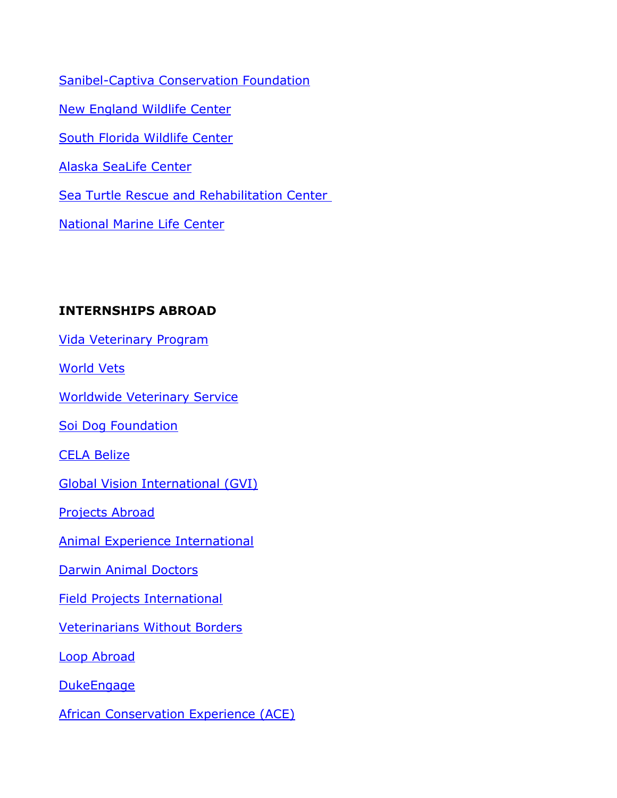[Sanibel-Captiva Conservation Foundation](https://urldefense.proofpoint.com/v2/url?u=http-3A__marinelab.sccf.org_&d=DwMGaQ&c=mRWFL96tuqj9V0Jjj4h40ddo0XsmttALwKjAEOCyUjY&r=_HCobFdLvmTnJ5LHSXLop2lmW7tYfuvLYwtDFL6nAtJtbvQn-K6Hi5_1pZVjNXRY&m=BbLfiITn-yt2gW_RST5APLUIZC89Ijljp7Ed5LcitYQ&s=BR7IOiQizX4akijDwBMLiVnGuUEMttLz7Ru4MNDzKDQ&e=) [New England Wildlife Center](https://urldefense.proofpoint.com/v2/url?u=http-3A__www.newildlife.org_internship_&d=DwMGaQ&c=mRWFL96tuqj9V0Jjj4h40ddo0XsmttALwKjAEOCyUjY&r=_HCobFdLvmTnJ5LHSXLop2lmW7tYfuvLYwtDFL6nAtJtbvQn-K6Hi5_1pZVjNXRY&m=BbLfiITn-yt2gW_RST5APLUIZC89Ijljp7Ed5LcitYQ&s=z6C1xaQxt5KUuVYCu8L4SuszkJeaXPwaJqBYe0JuPPA&e=) [South Florida Wildlife Center](https://urldefense.proofpoint.com/v2/url?u=http-3A__www.humanesociety.org_assets_pdfs_national-2Dvolunteer-2Dcenter_position-2Ddescriptions_sfwc-5Frotational-5Fintern.pdf&d=DwMGaQ&c=mRWFL96tuqj9V0Jjj4h40ddo0XsmttALwKjAEOCyUjY&r=_HCobFdLvmTnJ5LHSXLop2lmW7tYfuvLYwtDFL6nAtJtbvQn-K6Hi5_1pZVjNXRY&m=BbLfiITn-yt2gW_RST5APLUIZC89Ijljp7Ed5LcitYQ&s=NpBVhh4oGgFyNdlp4w_4_1zoAjzJw62mgFYrmy4ngN8&e=) [Alaska SeaLife Center](https://urldefense.proofpoint.com/v2/url?u=http-3A__www.alaskasealife.org_fellowships&d=DwMGaQ&c=mRWFL96tuqj9V0Jjj4h40ddo0XsmttALwKjAEOCyUjY&r=_HCobFdLvmTnJ5LHSXLop2lmW7tYfuvLYwtDFL6nAtJtbvQn-K6Hi5_1pZVjNXRY&m=BbLfiITn-yt2gW_RST5APLUIZC89Ijljp7Ed5LcitYQ&s=j0rbCFwJlOpfMHFdX82TuumiDIgajcTGJXRh9FNRZBA&e=) [Sea Turtle Rescue and Rehabilitation Center](https://urldefense.proofpoint.com/v2/url?u=https-3A__www.seaturtlehospital.org_&d=DwMGaQ&c=mRWFL96tuqj9V0Jjj4h40ddo0XsmttALwKjAEOCyUjY&r=_HCobFdLvmTnJ5LHSXLop2lmW7tYfuvLYwtDFL6nAtJtbvQn-K6Hi5_1pZVjNXRY&m=BbLfiITn-yt2gW_RST5APLUIZC89Ijljp7Ed5LcitYQ&s=fnuzNxjr40mOjoa-XXqpzghQOh0RuASaUg0LihAQWmM&e=) [National Marine Life Center](https://urldefense.proofpoint.com/v2/url?u=http-3A__nmlc.org_about_staff_job-2Dopportunities_&d=DwMGaQ&c=mRWFL96tuqj9V0Jjj4h40ddo0XsmttALwKjAEOCyUjY&r=_HCobFdLvmTnJ5LHSXLop2lmW7tYfuvLYwtDFL6nAtJtbvQn-K6Hi5_1pZVjNXRY&m=BbLfiITn-yt2gW_RST5APLUIZC89Ijljp7Ed5LcitYQ&s=YV-Saxw4onHaog8Kp6znaq-noouQ16bwvWmJsa3LJuQ&e=)

# **INTERNSHIPS ABROAD**

[Vida Veterinary Program](https://urldefense.proofpoint.com/v2/url?u=http-3A__www.vidavolunteer.org_veterinary-2Dprogram&d=DwMGaQ&c=mRWFL96tuqj9V0Jjj4h40ddo0XsmttALwKjAEOCyUjY&r=_HCobFdLvmTnJ5LHSXLop2lmW7tYfuvLYwtDFL6nAtJtbvQn-K6Hi5_1pZVjNXRY&m=BbLfiITn-yt2gW_RST5APLUIZC89Ijljp7Ed5LcitYQ&s=gNGwSyATeNPUEzGRyBv-XF03j3mzJ7cCeM29YAoki6o&e=)

[World Vets](https://urldefense.proofpoint.com/v2/url?u=http-3A__worldvets.org_ivm_&d=DwMGaQ&c=mRWFL96tuqj9V0Jjj4h40ddo0XsmttALwKjAEOCyUjY&r=_HCobFdLvmTnJ5LHSXLop2lmW7tYfuvLYwtDFL6nAtJtbvQn-K6Hi5_1pZVjNXRY&m=BbLfiITn-yt2gW_RST5APLUIZC89Ijljp7Ed5LcitYQ&s=o75B_f75wVdmzlwPB-5ojRVgJKLv7sZGZ-YU-JdVCb4&e=)

[Worldwide Veterinary Service](https://urldefense.proofpoint.com/v2/url?u=https-3A__wvs.org.uk_&d=DwMGaQ&c=mRWFL96tuqj9V0Jjj4h40ddo0XsmttALwKjAEOCyUjY&r=_HCobFdLvmTnJ5LHSXLop2lmW7tYfuvLYwtDFL6nAtJtbvQn-K6Hi5_1pZVjNXRY&m=BbLfiITn-yt2gW_RST5APLUIZC89Ijljp7Ed5LcitYQ&s=yU0HQhTJvogFQnxM-qurOzVWptMGSenHoYr54Uip_Fg&e=)

[Soi Dog Foundation](https://urldefense.proofpoint.com/v2/url?u=https-3A__www.soidog.org_content_volunteer&d=DwMGaQ&c=mRWFL96tuqj9V0Jjj4h40ddo0XsmttALwKjAEOCyUjY&r=_HCobFdLvmTnJ5LHSXLop2lmW7tYfuvLYwtDFL6nAtJtbvQn-K6Hi5_1pZVjNXRY&m=BbLfiITn-yt2gW_RST5APLUIZC89Ijljp7Ed5LcitYQ&s=HoqQKOJRBRPdoc5YJQO8CBPHBZa1UBlVvr9YRAdHcUg&e=)

[CELA Belize](https://urldefense.proofpoint.com/v2/url?u=http-3A__www.celabelize.com_&d=DwMGaQ&c=mRWFL96tuqj9V0Jjj4h40ddo0XsmttALwKjAEOCyUjY&r=_HCobFdLvmTnJ5LHSXLop2lmW7tYfuvLYwtDFL6nAtJtbvQn-K6Hi5_1pZVjNXRY&m=BbLfiITn-yt2gW_RST5APLUIZC89Ijljp7Ed5LcitYQ&s=oykBCEgr5EHu9wx9tBjRlQ_3jE5uTuTdlBj_bLMMIY0&e=)

[Global Vision International \(GVI\)](https://urldefense.proofpoint.com/v2/url?u=https-3A__www.gviusa.com_&d=DwMGaQ&c=mRWFL96tuqj9V0Jjj4h40ddo0XsmttALwKjAEOCyUjY&r=_HCobFdLvmTnJ5LHSXLop2lmW7tYfuvLYwtDFL6nAtJtbvQn-K6Hi5_1pZVjNXRY&m=BbLfiITn-yt2gW_RST5APLUIZC89Ijljp7Ed5LcitYQ&s=OS3fZvITM9ueifwiPGz4FOTxsdj7Wcvd_GLUr23v3XI&e=)

[Projects Abroad](https://urldefense.proofpoint.com/v2/url?u=https-3A__www.projects-2Dabroad.org_volunteer-2Dprojects_veterinary-2Dmedicine-2Dand-2Danimal-2Dcare_&d=DwMGaQ&c=mRWFL96tuqj9V0Jjj4h40ddo0XsmttALwKjAEOCyUjY&r=_HCobFdLvmTnJ5LHSXLop2lmW7tYfuvLYwtDFL6nAtJtbvQn-K6Hi5_1pZVjNXRY&m=BbLfiITn-yt2gW_RST5APLUIZC89Ijljp7Ed5LcitYQ&s=BrEvqROHpb2zX3CKXg0Iwyz7r2FJnAN15rKCbVlw_28&e=)

[Animal Experience International](https://urldefense.proofpoint.com/v2/url?u=http-3A__www.animalexperienceinternational.com_mexico.html&d=DwMGaQ&c=mRWFL96tuqj9V0Jjj4h40ddo0XsmttALwKjAEOCyUjY&r=_HCobFdLvmTnJ5LHSXLop2lmW7tYfuvLYwtDFL6nAtJtbvQn-K6Hi5_1pZVjNXRY&m=BbLfiITn-yt2gW_RST5APLUIZC89Ijljp7Ed5LcitYQ&s=IwL8A3r2Br08MnlxFYmP4R1OEia-kk1DMZ_6PvUSPac&e=)

[Darwin Animal Doctors](https://urldefense.proofpoint.com/v2/url?u=http-3A__darwinanimaldoctors.org_&d=DwMGaQ&c=mRWFL96tuqj9V0Jjj4h40ddo0XsmttALwKjAEOCyUjY&r=_HCobFdLvmTnJ5LHSXLop2lmW7tYfuvLYwtDFL6nAtJtbvQn-K6Hi5_1pZVjNXRY&m=BbLfiITn-yt2gW_RST5APLUIZC89Ijljp7Ed5LcitYQ&s=aPYUf36UepEJmoZfSBnzgKXfs1sGh1AgAtwCDnewgBg&e=)

[Field Projects International](https://urldefense.proofpoint.com/v2/url?u=https-3A__fieldprojects.org_&d=DwMGaQ&c=mRWFL96tuqj9V0Jjj4h40ddo0XsmttALwKjAEOCyUjY&r=_HCobFdLvmTnJ5LHSXLop2lmW7tYfuvLYwtDFL6nAtJtbvQn-K6Hi5_1pZVjNXRY&m=BbLfiITn-yt2gW_RST5APLUIZC89Ijljp7Ed5LcitYQ&s=D16jd1t-NACS0dY1sOdTtG1GrWxSi_d8ZdlL-zil9_g&e=)

[Veterinarians Without Borders](https://urldefense.proofpoint.com/v2/url?u=http-3A__vetswithoutbordersus.org_&d=DwMGaQ&c=mRWFL96tuqj9V0Jjj4h40ddo0XsmttALwKjAEOCyUjY&r=_HCobFdLvmTnJ5LHSXLop2lmW7tYfuvLYwtDFL6nAtJtbvQn-K6Hi5_1pZVjNXRY&m=BbLfiITn-yt2gW_RST5APLUIZC89Ijljp7Ed5LcitYQ&s=qooOXo91ngJHtbhIKcTumXdq2QYEotmou2LvxKX3674&e=)

[Loop Abroad](https://urldefense.proofpoint.com/v2/url?u=http-3A__www.loopabroad.com_content_thailand&d=DwMGaQ&c=mRWFL96tuqj9V0Jjj4h40ddo0XsmttALwKjAEOCyUjY&r=_HCobFdLvmTnJ5LHSXLop2lmW7tYfuvLYwtDFL6nAtJtbvQn-K6Hi5_1pZVjNXRY&m=BbLfiITn-yt2gW_RST5APLUIZC89Ijljp7Ed5LcitYQ&s=-rH6KHE8hpRXyXlrCHWb1_F4jwtKRrABlHQRNcULPHQ&e=)

**[DukeEngage](https://urldefense.proofpoint.com/v2/url?u=https-3A__dukeengage.duke.edu_&d=DwMGaQ&c=mRWFL96tuqj9V0Jjj4h40ddo0XsmttALwKjAEOCyUjY&r=_HCobFdLvmTnJ5LHSXLop2lmW7tYfuvLYwtDFL6nAtJtbvQn-K6Hi5_1pZVjNXRY&m=BbLfiITn-yt2gW_RST5APLUIZC89Ijljp7Ed5LcitYQ&s=AzKs0A7Tt2pqyFi4SmrL05sZx6LeAlNghdbS96FNGYs&e=)** 

**[African Conservation Experience \(ACE\)](https://urldefense.proofpoint.com/v2/url?u=https-3A__www.conservationafrica.net_&d=DwMGaQ&c=mRWFL96tuqj9V0Jjj4h40ddo0XsmttALwKjAEOCyUjY&r=_HCobFdLvmTnJ5LHSXLop2lmW7tYfuvLYwtDFL6nAtJtbvQn-K6Hi5_1pZVjNXRY&m=BbLfiITn-yt2gW_RST5APLUIZC89Ijljp7Ed5LcitYQ&s=sFZyDIChROLzvLv6YARnDJkxEz6I2lLH2AbDY-CcFJM&e=)**